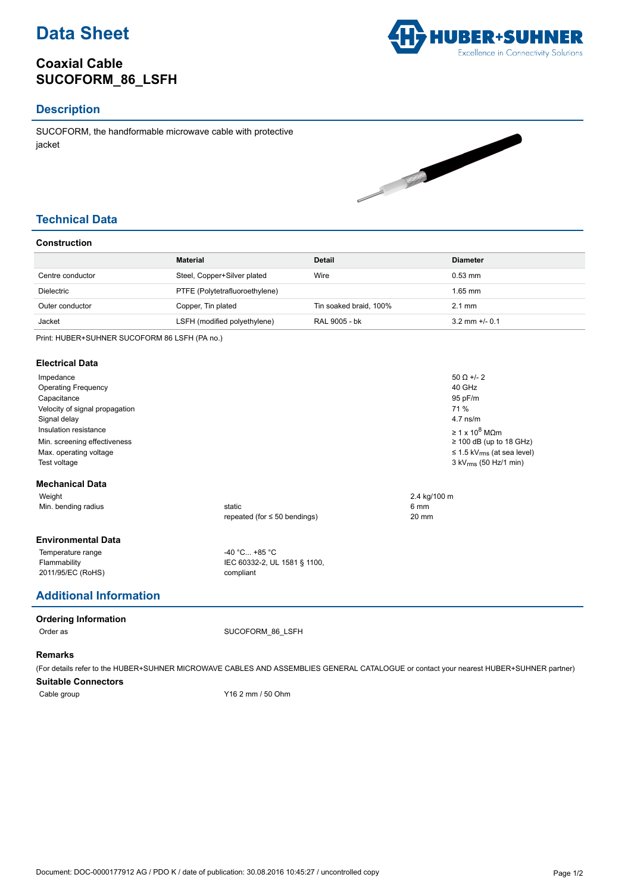

# **Coaxial Cable SUCOFORM\_86\_LSFH**



## **Description**

SUCOFORM, the handformable microwave cable with protective jacket



## **Technical Data**

### **Construction**

|                  | <b>Material</b>                | Detail                 | <b>Diameter</b>    |
|------------------|--------------------------------|------------------------|--------------------|
| Centre conductor | Steel, Copper+Silver plated    | Wire                   | $0.53$ mm          |
| Dielectric       | PTFE (Polytetrafluoroethylene) |                        | $1.65$ mm          |
| Outer conductor  | Copper, Tin plated             | Tin soaked braid, 100% | $2.1 \text{ mm}$   |
| Jacket           | LSFH (modified polyethylene)   | RAL 9005 - bk          | $3.2$ mm $+/-$ 0.1 |

Print: HUBER+SUHNER SUCOFORM 86 LSFH (PA no.)

#### **Electrical Data**

| Impedance<br><b>Operating Frequency</b><br>Capacitance<br>Velocity of signal propagation<br>Signal delay<br>Insulation resistance<br>Min. screening effectiveness<br>Max. operating voltage<br>Test voltage |                                                              | $50 \Omega +12$<br>40 GHz<br>95 pF/m<br>71 %<br>$4.7$ ns/m<br>$\geq 1 \times 10^8$ MOm<br>$\geq$ 100 dB (up to 18 GHz)<br>$\leq$ 1.5 kV <sub>rms</sub> (at sea level)<br>$3$ kV <sub>rms</sub> (50 Hz/1 min) |
|-------------------------------------------------------------------------------------------------------------------------------------------------------------------------------------------------------------|--------------------------------------------------------------|--------------------------------------------------------------------------------------------------------------------------------------------------------------------------------------------------------------|
| <b>Mechanical Data</b>                                                                                                                                                                                      |                                                              |                                                                                                                                                                                                              |
| Weight                                                                                                                                                                                                      |                                                              | 2.4 kg/100 m                                                                                                                                                                                                 |
| Min. bending radius                                                                                                                                                                                         | static<br>repeated (for $\leq 50$ bendings)                  | 6 mm<br>20 mm                                                                                                                                                                                                |
| <b>Environmental Data</b>                                                                                                                                                                                   |                                                              |                                                                                                                                                                                                              |
| Temperature range<br>Flammability<br>2011/95/EC (RoHS)                                                                                                                                                      | $-40 °C +85 °C$<br>IEC 60332-2, UL 1581 § 1100,<br>compliant |                                                                                                                                                                                                              |

## **Additional Information**

#### **Ordering Information**

Order as SUCOFORM 86 LSFH

#### **Remarks**

(For details refer to the HUBER+SUHNER MICROWAVE CABLES AND ASSEMBLIES GENERAL CATALOGUE or contact your nearest HUBER+SUHNER partner) **Suitable Connectors**

Cable group Y16 2 mm / 50 Ohm